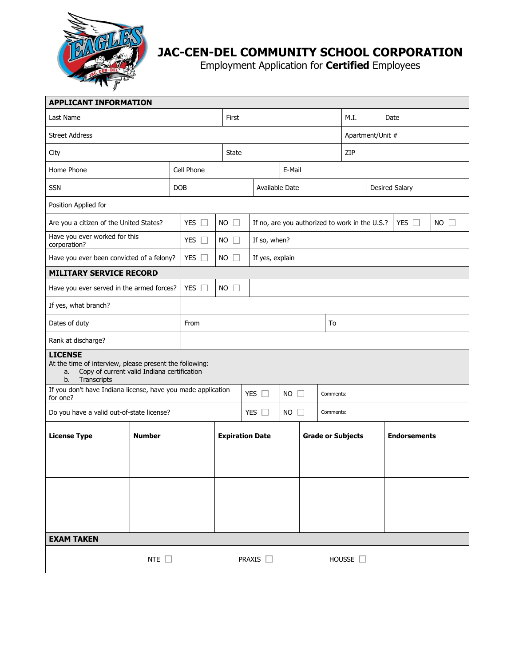

## **JAC-CEN-DEL COMMUNITY SCHOOL CORPORATION**

Employment Application for **Certified** Employees

| <b>APPLICANT INFORMATION</b>                                                                                                                        |  |                      |                        |                                                                 |                          |        |           |                     |                       |             |  |
|-----------------------------------------------------------------------------------------------------------------------------------------------------|--|----------------------|------------------------|-----------------------------------------------------------------|--------------------------|--------|-----------|---------------------|-----------------------|-------------|--|
| Last Name                                                                                                                                           |  |                      | First                  |                                                                 |                          |        |           | M.I.                |                       | Date        |  |
| <b>Street Address</b>                                                                                                                               |  |                      |                        |                                                                 |                          |        |           | Apartment/Unit #    |                       |             |  |
| City                                                                                                                                                |  |                      |                        | <b>State</b>                                                    |                          |        |           | ZIP                 |                       |             |  |
| Home Phone                                                                                                                                          |  | Cell Phone           |                        |                                                                 |                          | E-Mail |           |                     |                       |             |  |
| <b>SSN</b>                                                                                                                                          |  | <b>DOB</b>           |                        |                                                                 | Available Date           |        |           |                     | <b>Desired Salary</b> |             |  |
| Position Applied for                                                                                                                                |  |                      |                        |                                                                 |                          |        |           |                     |                       |             |  |
| YES $\square$<br>Are you a citizen of the United States?                                                                                            |  |                      | <b>NO</b><br>$\Box$    | YES $\square$<br>If no, are you authorized to work in the U.S.? |                          |        |           |                     |                       | $NO$ $\Box$ |  |
| Have you ever worked for this<br>corporation?                                                                                                       |  | YES $\square$        | <b>NO</b>              |                                                                 | If so, when?             |        |           |                     |                       |             |  |
| Have you ever been convicted of a felony?                                                                                                           |  | <b>YES</b><br>$\Box$ | <b>NO</b>              |                                                                 | If yes, explain          |        |           |                     |                       |             |  |
| <b>MILITARY SERVICE RECORD</b>                                                                                                                      |  |                      |                        |                                                                 |                          |        |           |                     |                       |             |  |
| Have you ever served in the armed forces?                                                                                                           |  | <b>YES</b><br>$\Box$ | <b>NO</b><br>$\Box$    |                                                                 |                          |        |           |                     |                       |             |  |
| If yes, what branch?                                                                                                                                |  |                      |                        |                                                                 |                          |        |           |                     |                       |             |  |
| Dates of duty                                                                                                                                       |  | From                 |                        |                                                                 |                          | To     |           |                     |                       |             |  |
| Rank at discharge?                                                                                                                                  |  |                      |                        |                                                                 |                          |        |           |                     |                       |             |  |
| <b>LICENSE</b><br>At the time of interview, please present the following:<br>Copy of current valid Indiana certification<br>a.<br>Transcripts<br>b. |  |                      |                        |                                                                 |                          |        |           |                     |                       |             |  |
| If you don't have Indiana license, have you made application<br>for one?                                                                            |  |                      |                        | YES $\Box$                                                      | <b>NO</b>                |        | Comments: |                     |                       |             |  |
| Do you have a valid out-of-state license?                                                                                                           |  |                      |                        | YES $\Box$<br><b>NO</b><br>$\mathbb{R}$                         |                          |        | Comments: |                     |                       |             |  |
| <b>License Type</b><br><b>Number</b>                                                                                                                |  |                      | <b>Expiration Date</b> |                                                                 | <b>Grade or Subjects</b> |        |           | <b>Endorsements</b> |                       |             |  |
|                                                                                                                                                     |  |                      |                        |                                                                 |                          |        |           |                     |                       |             |  |
|                                                                                                                                                     |  |                      |                        |                                                                 |                          |        |           |                     |                       |             |  |
|                                                                                                                                                     |  |                      |                        |                                                                 |                          |        |           |                     |                       |             |  |
| <b>EXAM TAKEN</b>                                                                                                                                   |  |                      |                        |                                                                 |                          |        |           |                     |                       |             |  |
| NTE $\square$                                                                                                                                       |  |                      |                        | PRAXIS <sup>[1]</sup>                                           |                          |        |           | HOUSSE $\square$    |                       |             |  |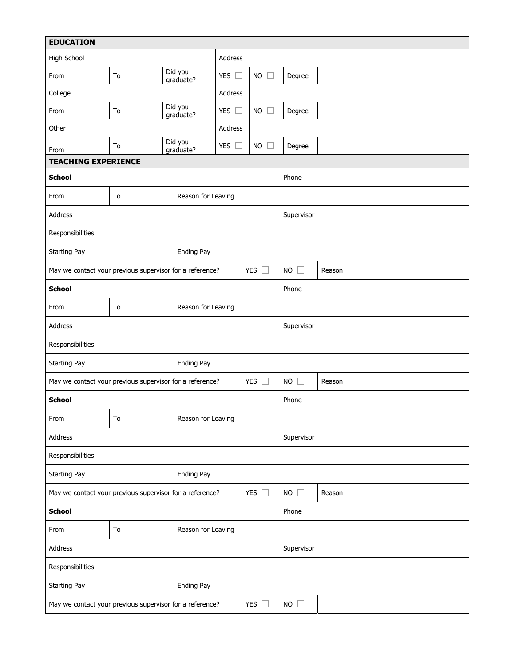| <b>EDUCATION</b>                                         |    |                      |                    |                     |                                       |        |  |  |  |
|----------------------------------------------------------|----|----------------------|--------------------|---------------------|---------------------------------------|--------|--|--|--|
| High School                                              |    |                      | Address            |                     |                                       |        |  |  |  |
| From                                                     | To | Did you<br>graduate? | YES $\square$      | <b>NO</b><br>$\Box$ | Degree                                |        |  |  |  |
| College                                                  |    |                      | Address            |                     |                                       |        |  |  |  |
| From<br>To                                               |    | Did you<br>graduate? | YES $\square$      | <b>NO</b>           | Degree                                |        |  |  |  |
| Other                                                    |    |                      | Address            |                     |                                       |        |  |  |  |
| From                                                     | To | Did you<br>graduate? |                    | <b>NO</b>           | Degree                                |        |  |  |  |
| <b>TEACHING EXPERIENCE</b>                               |    |                      |                    |                     |                                       |        |  |  |  |
| <b>School</b>                                            |    |                      | Phone              |                     |                                       |        |  |  |  |
| From                                                     | To | Reason for Leaving   |                    |                     |                                       |        |  |  |  |
| Address                                                  |    |                      |                    |                     | Supervisor                            |        |  |  |  |
| Responsibilities                                         |    |                      |                    |                     |                                       |        |  |  |  |
| <b>Starting Pay</b><br>Ending Pay                        |    |                      |                    |                     |                                       |        |  |  |  |
| May we contact your previous supervisor for a reference? |    |                      |                    | YES $\Box$          | $NO$ $\Box$                           | Reason |  |  |  |
| <b>School</b>                                            |    |                      |                    | Phone               |                                       |        |  |  |  |
| Reason for Leaving<br>To<br>From                         |    |                      |                    |                     |                                       |        |  |  |  |
| Address                                                  |    |                      |                    |                     | Supervisor                            |        |  |  |  |
| Responsibilities                                         |    |                      |                    |                     |                                       |        |  |  |  |
| Ending Pay<br><b>Starting Pay</b>                        |    |                      |                    |                     |                                       |        |  |  |  |
| May we contact your previous supervisor for a reference? |    |                      |                    | YES $\Box$          | <b>NO</b><br>$\mathbb{R}^n$<br>Reason |        |  |  |  |
| <b>School</b>                                            |    |                      |                    | Phone               |                                       |        |  |  |  |
| Reason for Leaving<br>From<br>To                         |    |                      |                    |                     |                                       |        |  |  |  |
| Address                                                  |    |                      |                    |                     | Supervisor                            |        |  |  |  |
| Responsibilities                                         |    |                      |                    |                     |                                       |        |  |  |  |
| Starting Pay<br>Ending Pay                               |    |                      |                    |                     |                                       |        |  |  |  |
| May we contact your previous supervisor for a reference? |    |                      |                    | YES $\square$       | $NO$ $\Box$                           | Reason |  |  |  |
| <b>School</b>                                            |    |                      |                    |                     | Phone                                 |        |  |  |  |
| From                                                     | To |                      | Reason for Leaving |                     |                                       |        |  |  |  |
| Address                                                  |    |                      |                    |                     | Supervisor                            |        |  |  |  |
| Responsibilities                                         |    |                      |                    |                     |                                       |        |  |  |  |
| Starting Pay<br>Ending Pay                               |    |                      |                    |                     |                                       |        |  |  |  |
| May we contact your previous supervisor for a reference? |    |                      |                    | YES $\square$       | $NO$ $\Box$                           |        |  |  |  |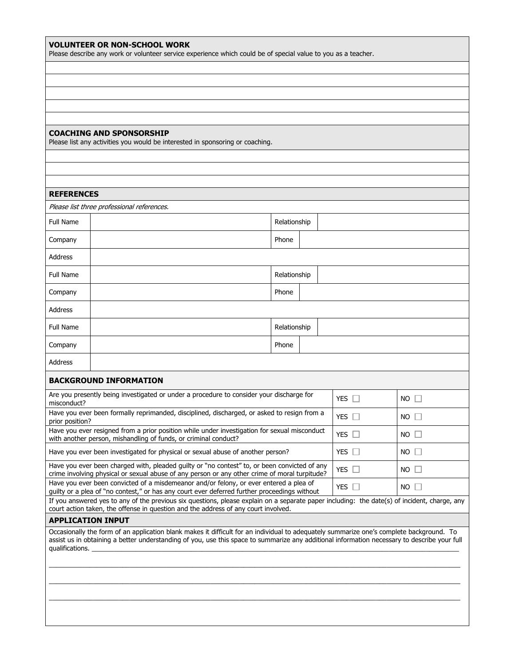| <b>VOLUNTEER OR NON-SCHOOL WORK</b><br>Please describe any work or volunteer service experience which could be of special value to you as a teacher. |
|------------------------------------------------------------------------------------------------------------------------------------------------------|
|                                                                                                                                                      |
|                                                                                                                                                      |
|                                                                                                                                                      |

## **COACHING AND SPONSORSHIP**

Please list any activities you would be interested in sponsoring or coaching.

| <b>REFERENCES</b>                                                                                                                                                                                                                                                                                           |                                            |              |  |  |  |  |  |
|-------------------------------------------------------------------------------------------------------------------------------------------------------------------------------------------------------------------------------------------------------------------------------------------------------------|--------------------------------------------|--------------|--|--|--|--|--|
|                                                                                                                                                                                                                                                                                                             | Please list three professional references. |              |  |  |  |  |  |
| <b>Full Name</b>                                                                                                                                                                                                                                                                                            |                                            | Relationship |  |  |  |  |  |
| Company                                                                                                                                                                                                                                                                                                     |                                            | Phone        |  |  |  |  |  |
| <b>Address</b>                                                                                                                                                                                                                                                                                              |                                            |              |  |  |  |  |  |
| Full Name                                                                                                                                                                                                                                                                                                   |                                            | Relationship |  |  |  |  |  |
| Company                                                                                                                                                                                                                                                                                                     |                                            | Phone        |  |  |  |  |  |
| <b>Address</b>                                                                                                                                                                                                                                                                                              |                                            |              |  |  |  |  |  |
| <b>Full Name</b>                                                                                                                                                                                                                                                                                            |                                            | Relationship |  |  |  |  |  |
| Company                                                                                                                                                                                                                                                                                                     |                                            | Phone        |  |  |  |  |  |
| Address                                                                                                                                                                                                                                                                                                     |                                            |              |  |  |  |  |  |
| <b>BACKGROUND INFORMATION</b>                                                                                                                                                                                                                                                                               |                                            |              |  |  |  |  |  |
| Are you presently being investigated or under a procedure to consider your discharge for<br>YES $\Box$<br>$NO$ $\Box$<br>misconduct?                                                                                                                                                                        |                                            |              |  |  |  |  |  |
| Have you ever been formally reprimanded, disciplined, discharged, or asked to resign from a<br>YES $\Box$<br>$NO$ $\Box$<br>prior position?                                                                                                                                                                 |                                            |              |  |  |  |  |  |
| Have you ever resigned from a prior position while under investigation for sexual misconduct<br>YES $\Box$<br>$NO$ $\Box$<br>with another person, mishandling of funds, or criminal conduct?                                                                                                                |                                            |              |  |  |  |  |  |
| YES $\Box$<br>$NO$ $\Box$<br>Have you ever been investigated for physical or sexual abuse of another person?                                                                                                                                                                                                |                                            |              |  |  |  |  |  |
| Have you ever been charged with, pleaded guilty or "no contest" to, or been convicted of any<br>$NO$ $\Box$<br>$YES$ $\Box$<br>crime involving physical or sexual abuse of any person or any other crime of moral turpitude?                                                                                |                                            |              |  |  |  |  |  |
| Have you ever been convicted of a misdemeanor and/or felony, or ever entered a plea of<br>YES $\Box$<br>$NO$ $\Box$<br>guilty or a plea of "no contest," or has any court ever deferred further proceedings without                                                                                         |                                            |              |  |  |  |  |  |
| If you answered yes to any of the previous six questions, please explain on a separate paper including: the date(s) of incident, charge, any<br>court action taken, the offense in question and the address of any court involved.                                                                          |                                            |              |  |  |  |  |  |
| <b>APPLICATION INPUT</b>                                                                                                                                                                                                                                                                                    |                                            |              |  |  |  |  |  |
| Occasionally the form of an application blank makes it difficult for an individual to adequately summarize one's complete background. To<br>assist us in obtaining a better understanding of you, use this space to summarize any additional information necessary to describe your full<br>qualifications. |                                            |              |  |  |  |  |  |
|                                                                                                                                                                                                                                                                                                             |                                            |              |  |  |  |  |  |
|                                                                                                                                                                                                                                                                                                             |                                            |              |  |  |  |  |  |
|                                                                                                                                                                                                                                                                                                             |                                            |              |  |  |  |  |  |